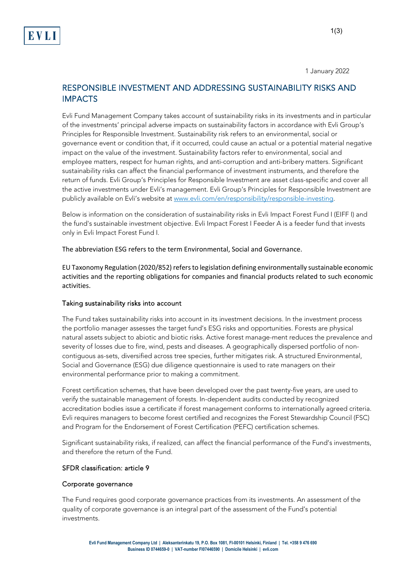1 January 2022

# RESPONSIBLE INVESTMENT AND ADDRESSING SUSTAINABILITY RISKS AND IMPACTS

Evli Fund Management Company takes account of sustainability risks in its investments and in particular of the investments' principal adverse impacts on sustainability factors in accordance with Evli Group's Principles for Responsible Investment. Sustainability risk refers to an environmental, social or governance event or condition that, if it occurred, could cause an actual or a potential material negative impact on the value of the investment. Sustainability factors refer to environmental, social and employee matters, respect for human rights, and anti-corruption and anti-bribery matters. Significant sustainability risks can affect the financial performance of investment instruments, and therefore the return of funds. Evli Group's Principles for Responsible Investment are asset class-specific and cover all the active investments under Evli's management. Evli Group's Principles for Responsible Investment are publicly available on Evli's website a[t www.evli.com/en/responsibility/responsible-investing.](http://www.evli.com/en/responsibility/responsible-investing)

Below is information on the consideration of sustainability risks in Evli Impact Forest Fund I (EIFF I) and the fund's sustainable investment objective. Evli Impact Forest I Feeder A is a feeder fund that invests only in Evli Impact Forest Fund I.

The abbreviation ESG refers to the term Environmental, Social and Governance. 

EU Taxonomy Regulation (2020/852) refers to legislation defining environmentally sustainable economic activities and the reporting obligations for companies and financial products related to such economic activities.

## Taking sustainability risks into account

The Fund takes sustainability risks into account in its investment decisions. In the investment process the portfolio manager assesses the target fund's ESG risks and opportunities. Forests are physical natural assets subject to abiotic and biotic risks. Active forest manage-ment reduces the prevalence and severity of losses due to fire, wind, pests and diseases. A geographically dispersed portfolio of noncontiguous as-sets, diversified across tree species, further mitigates risk. A structured Environmental, Social and Governance (ESG) due diligence questionnaire is used to rate managers on their environmental performance prior to making a commitment.

Forest certification schemes, that have been developed over the past twenty-five years, are used to verify the sustainable management of forests. In-dependent audits conducted by recognized accreditation bodies issue a certificate if forest management conforms to internationally agreed criteria. Evli requires managers to become forest certified and recognizes the Forest Stewardship Council (FSC) and Program for the Endorsement of Forest Certification (PEFC) certification schemes.

Significant sustainability risks, if realized, can affect the financial performance of the Fund's investments, and therefore the return of the Fund.

### SFDR classification: article 9

### Corporate governance

The Fund requires good corporate governance practices from its investments. An assessment of the quality of corporate governance is an integral part of the assessment of the Fund's potential investments.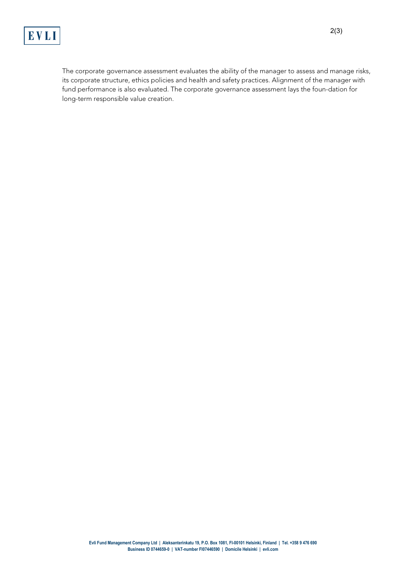

The corporate governance assessment evaluates the ability of the manager to assess and manage risks, its corporate structure, ethics policies and health and safety practices. Alignment of the manager with fund performance is also evaluated. The corporate governance assessment lays the foun-dation for long-term responsible value creation.